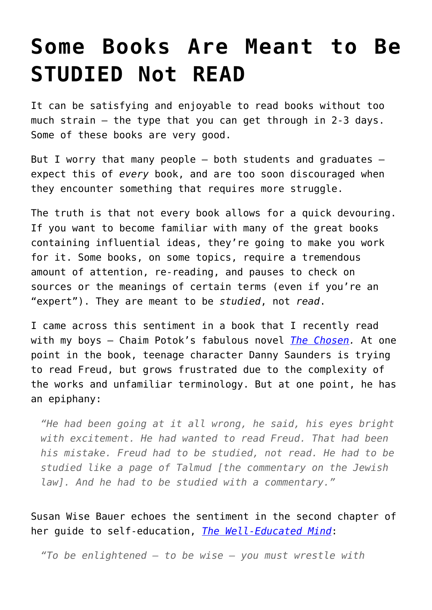## **[Some Books Are Meant to Be](https://intellectualtakeout.org/2015/12/some-books-are-meant-to-be-studied-not-read/) [STUDIED Not READ](https://intellectualtakeout.org/2015/12/some-books-are-meant-to-be-studied-not-read/)**

It can be satisfying and enjoyable to read books without too much strain  $-$  the type that you can get through in 2-3 days. Some of these books are very good.

But I worry that many people  $-$  both students and graduates  $$ expect this of *every* book, and are too soon discouraged when they encounter something that requires more struggle.

The truth is that not every book allows for a quick devouring. If you want to become familiar with many of the great books containing influential ideas, they're going to make you work for it. Some books, on some topics, require a tremendous amount of attention, re-reading, and pauses to check on sources or the meanings of certain terms (even if you're an "expert"). They are meant to be *studied*, not *read*.

I came across this sentiment in a book that I recently read with my boys – Chaim Potok's fabulous novel *[The Chosen](http://amzn.to/1Ymqht5).* At one point in the book, teenage character Danny Saunders is trying to read Freud, but grows frustrated due to the complexity of the works and unfamiliar terminology. But at one point, he has an epiphany:

*"He had been going at it all wrong, he said, his eyes bright with excitement. He had wanted to read Freud. That had been his mistake. Freud had to be studied, not read. He had to be studied like a page of Talmud [the commentary on the Jewish law]. And he had to be studied with a commentary."*

Susan Wise Bauer echoes the sentiment in the second chapter of her guide to self-education, *[The Well-Educated Mind](http://amzn.to/1OcsmNg)*:

*"To be enlightened – to be wise – you must wrestle with*